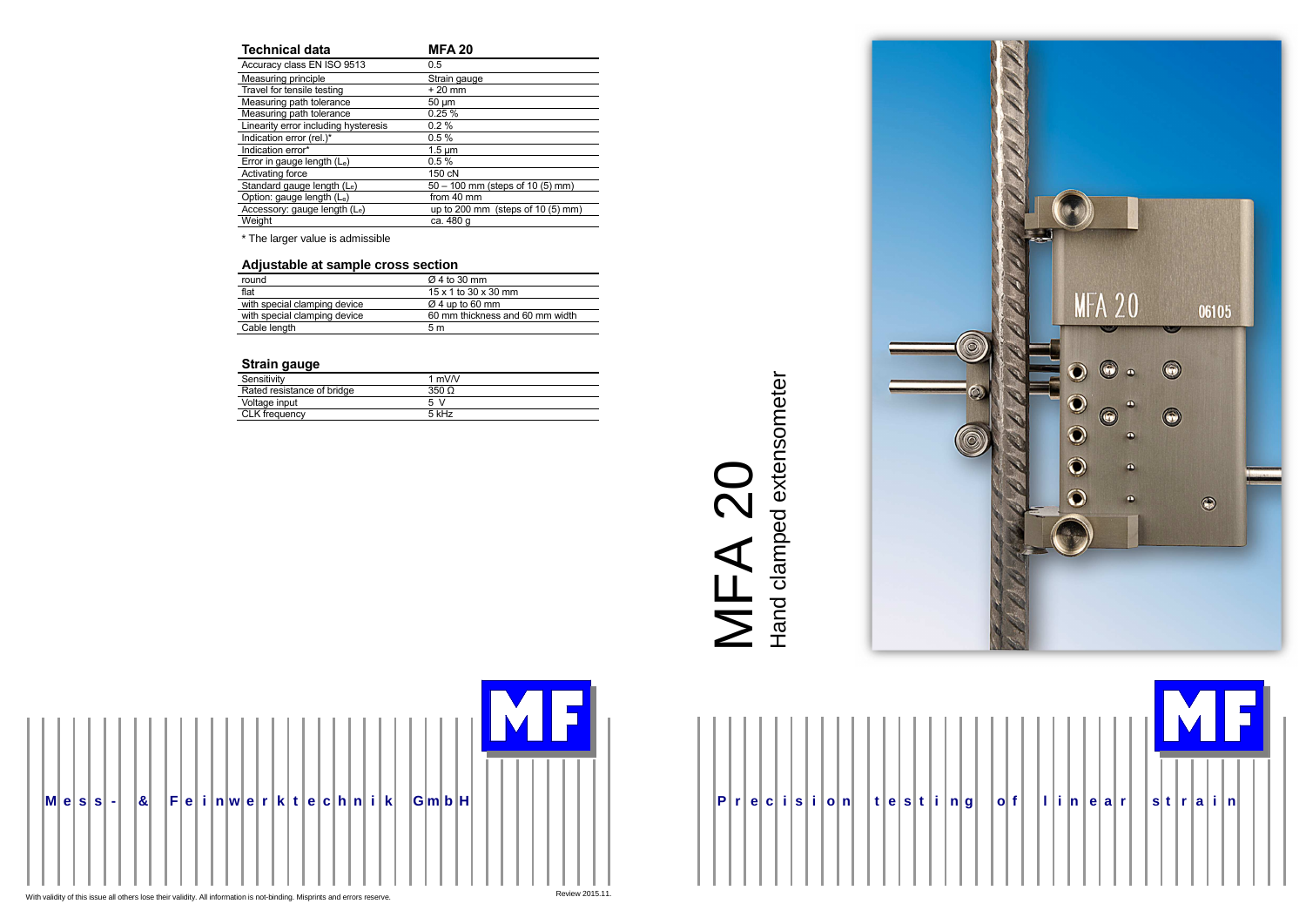







| <b>Technical data</b>                | <b>MFA 20</b>                      |
|--------------------------------------|------------------------------------|
| Accuracy class EN ISO 9513           | 0.5                                |
| Measuring principle                  | Strain gauge                       |
| Travel for tensile testing           | $+20$ mm                           |
| Measuring path tolerance             | $50 \mu m$                         |
| Measuring path tolerance             | 0.25%                              |
| Linearity error including hysteresis | $0.2\%$                            |
| Indication error (rel.)*             | 0.5%                               |
| Indication error*                    | $1.5 \mu m$                        |
| Error in gauge length $(L_e)$        | 0.5%                               |
| Activating force                     | 150 cN                             |
| Standard gauge length (Le)           | $50 - 100$ mm (steps of 10 (5) mm) |
| Option: gauge length (Le)            | from 40 mm                         |
| Accessory: gauge length (Le)         | up to 200 mm (steps of $10(5)$ mm) |
| Weight                               | ca. 480 g                          |

\* The larger value is admissible

### **Adjustable at sample cross section**

| round                        | $\varnothing$ 4 to 30 mm           |  |
|------------------------------|------------------------------------|--|
| flat                         | $15 \times 1$ to 30 $\times$ 30 mm |  |
| with special clamping device | $\varnothing$ 4 up to 60 mm        |  |
| with special clamping device | 60 mm thickness and 60 mm width    |  |
| Cable length                 | 5 m                                |  |
|                              |                                    |  |

## **Strain gauge**

| Sensitivity                | 1 mV $N$           |  |
|----------------------------|--------------------|--|
| Rated resistance of bridge | $350 \Omega$       |  |
| Voltage input              | $\mathcal{N}$<br>5 |  |
| <b>CLK</b> frequency       | 5 kHz              |  |
|                            |                    |  |